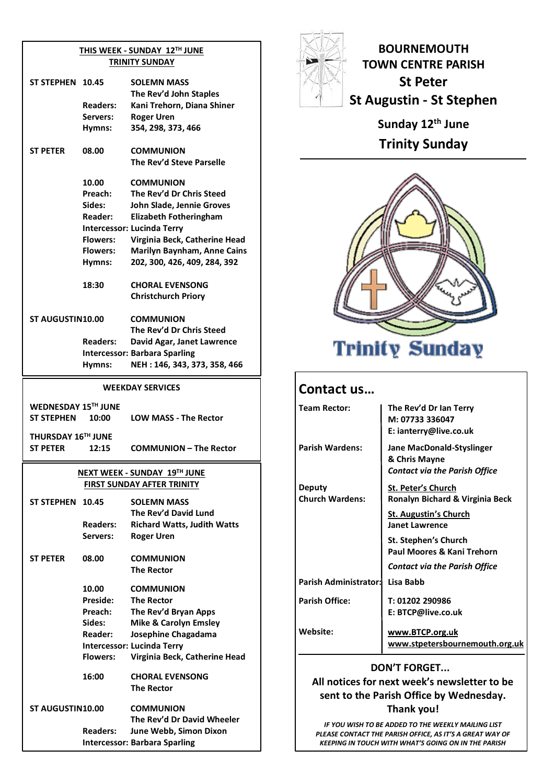#### **THIS WEEK - SUNDAY 12TH JUNE TRINITY SUNDAY**

| ST STEPHEN 10.45                                                  | <b>Readers:</b><br>Servers:<br>Hymns:                                                 | <b>SOLEMN MASS</b><br>The Rev'd John Staples<br>Kani Trehorn, Diana Shiner<br><b>Roger Uren</b><br>354, 298, 373, 466                                                                                                                                  |  |
|-------------------------------------------------------------------|---------------------------------------------------------------------------------------|--------------------------------------------------------------------------------------------------------------------------------------------------------------------------------------------------------------------------------------------------------|--|
| <b>ST PETER</b>                                                   | 08.00                                                                                 | <b>COMMUNION</b><br>The Rev'd Steve Parselle                                                                                                                                                                                                           |  |
|                                                                   | 10.00<br>Preach:<br>Sides:<br>Reader:<br><b>Flowers:</b><br><b>Flowers:</b><br>Hymns: | <b>COMMUNION</b><br>The Rev'd Dr Chris Steed<br>John Slade, Jennie Groves<br><b>Elizabeth Fotheringham</b><br><b>Intercessor: Lucinda Terry</b><br>Virginia Beck, Catherine Head<br><b>Marilyn Baynham, Anne Cains</b><br>202, 300, 426, 409, 284, 392 |  |
|                                                                   | 18:30                                                                                 | <b>CHORAL EVENSONG</b><br><b>Christchurch Priory</b>                                                                                                                                                                                                   |  |
| ST AUGUSTIN10.00                                                  | <b>Readers:</b><br>Hymns:                                                             | <b>COMMUNION</b><br>The Rev'd Dr Chris Steed<br>David Agar, Janet Lawrence<br><b>Intercessor: Barbara Sparling</b><br>NEH: 146, 343, 373, 358, 466                                                                                                     |  |
| <b>WEEKDAY SERVICES</b>                                           |                                                                                       |                                                                                                                                                                                                                                                        |  |
| WEDNESDAY 15TH JUNE<br><b>ST STEPHEN</b>                          | 10:00                                                                                 | <b>LOW MASS - The Rector</b>                                                                                                                                                                                                                           |  |
| THURSDAY 16TH JUNE<br><b>ST PETER</b>                             | 12:15                                                                                 | <b>COMMUNION - The Rector</b>                                                                                                                                                                                                                          |  |
| <b>NEXT WEEK - SUNDAY 19TH JUNE</b><br>FIRST SUNDAY AFTER TRINITY |                                                                                       |                                                                                                                                                                                                                                                        |  |
| ST STEPHEN                                                        | 10.45<br><b>Readers:</b><br>Servers:                                                  | <b>SOLEMN MASS</b><br>The Rev'd David Lund<br><b>Richard Watts, Judith Watts</b><br><b>Roger Uren</b>                                                                                                                                                  |  |
| <b>ST PETER</b>                                                   | 08.00                                                                                 | <b>COMMUNION</b><br>The Rector                                                                                                                                                                                                                         |  |
|                                                                   | 10.00<br>Preside:<br>Preach:<br>Sides:<br>Reader:<br><b>Flowers:</b>                  | <b>COMMUNION</b><br>The Rector<br>The Rev'd Bryan Apps<br><b>Mike &amp; Carolyn Emsley</b><br>Josephine Chagadama<br><b>Intercessor: Lucinda Terry</b><br>Virginia Beck, Catherine Head                                                                |  |
|                                                                   | 16:00                                                                                 | <b>CHORAL EVENSONG</b><br>The Rector                                                                                                                                                                                                                   |  |
| <b>ST AUGUSTIN10.00</b>                                           | <b>Readers:</b>                                                                       | <b>COMMUNION</b><br>The Rev'd Dr David Wheeler<br>June Webb, Simon Dixon<br><b>Intercessor: Barbara Sparling</b>                                                                                                                                       |  |



# **BOURNEMOUTH TOWN CENTRE PARISH St Peter St Augustin - St Stephen**

**Sunday 12th June Trinity Sunday**



**Trinity Sunday** 

# **Contact us…**

| <b>Team Rector:</b>                     | The Rev'd Dr Ian Terry<br>M: 07733 336047<br>E: ianterry@live.co.uk                       |  |
|-----------------------------------------|-------------------------------------------------------------------------------------------|--|
| <b>Parish Wardens:</b>                  | <b>Jane MacDonald-Styslinger</b><br>& Chris Mayne<br><b>Contact via the Parish Office</b> |  |
| <b>Deputy</b><br><b>Church Wardens:</b> | St. Peter's Church<br>Ronalyn Bichard & Virginia Beck                                     |  |
|                                         | St. Augustin's Church<br><b>Janet Lawrence</b>                                            |  |
|                                         | <b>St. Stephen's Church</b><br>Paul Moores & Kani Trehorn                                 |  |
|                                         | <b>Contact via the Parish Office</b>                                                      |  |
| Parish Administrator:                   | Lisa Babb                                                                                 |  |
| <b>Parish Office:</b>                   | T: 01202 290986<br>E: BTCP@live.co.uk                                                     |  |
| Website:                                | www.BTCP.org.uk<br>www.stpetersbournemouth.org.uk                                         |  |
|                                         |                                                                                           |  |

**DON'T FORGET... All notices for next week's newsletter to be sent to the Parish Office by Wednesday. Thank you!**

*IF YOU WISH TO BE ADDED TO THE WEEKLY MAILING LIST PLEASE CONTACT THE PARISH OFFICE, AS IT'S A GREAT WAY OF KEEPING IN TOUCH WITH WHAT'S GOING ON IN THE PARISH*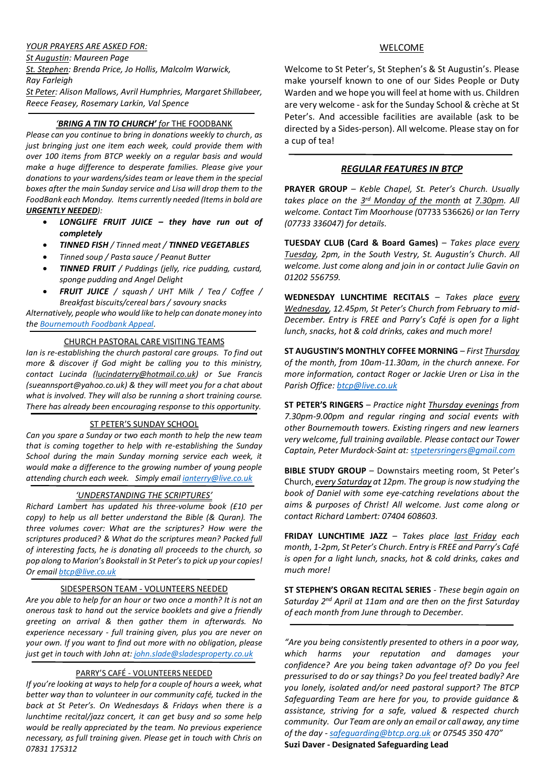#### *YOUR PRAYERS ARE ASKED FOR:*

*St Augustin: Maureen Page*

*St. Stephen: Brenda Price, Jo Hollis, Malcolm Warwick, Ray Farleigh*

*St Peter: Alison Mallows, Avril Humphries, Margaret Shillabeer, Reece Feasey, Rosemary Larkin, Val Spence*

#### *'BRING A TIN TO CHURCH' for* THE FOODBANK

*Please can you continue to bring in donations weekly to church, as just bringing just one item each week, could provide them with over 100 items from BTCP weekly on a regular basis and would make a huge difference to desperate families. Please give your donations to your wardens/sides team or leave them in the special boxes after the main Sunday service and Lisa will drop them to the FoodBank each Monday. Items currently needed (Items in bold are URGENTLY NEEDED):*

- *LONGLIFE FRUIT JUICE – they have run out of completely*
- *TINNED FISH / Tinned meat / TINNED VEGETABLES*
- *Tinned soup / Pasta sauce / Peanut Butter*
- *TINNED FRUIT / Puddings (jelly, rice pudding, custard, sponge pudding and Angel Delight*
- *FRUIT JUICE / squash / UHT Milk / Tea / Coffee / Breakfast biscuits/cereal bars / savoury snacks*

*Alternatively, people who would like to help can donate money into the [Bournemouth Foodbank Appeal.](https://nam12.safelinks.protection.outlook.com/?url=https%3A%2F%2Fwww.crowdfunder.co.uk%2Fp%2Fbournemouth-foodbank-2022&data=04%7C01%7C%7C212885be1b334a861b9608da0c100908%7C84df9e7fe9f640afb435aaaaaaaaaaaa%7C1%7C0%7C637835560261523418%7CUnknown%7CTWFpbGZsb3d8eyJWIjoiMC4wLjAwMDAiLCJQIjoiV2luMzIiLCJBTiI6Ik1haWwiLCJXVCI6Mn0%3D%7C3000&sdata=0kwllR%2FVKpXiq23Zee%2BQMNvELUcjJoK8%2B%2Be%2BVn%2Fn9gQ%3D&reserved=0)*

#### CHURCH PASTORAL CARE VISITING TEAMS

*Ian is re-establishing the church pastoral care groups. To find out more & discover if God might be calling you to this ministry, contact Lucinda [\(lucindaterry@hotmail.co.uk\)](mailto:lucindaterry@hotmail.co.uk) or Sue Francis (sueannsport@yahoo.co.uk) & they will meet you for a chat about what is involved. They will also be running a short training course. There has already been encouraging response to this opportunity.*

#### **ST PETER'S SUNDAY SCHOOL**

*Can you spare a Sunday or two each month to help the new team that is coming together to help with re-establishing the Sunday School during the main Sunday morning service each week, it would make a difference to the growing number of young people attending church each week. Simply email [ianterry@live.co.uk](mailto:ianterry@live.co.uk)*

#### *'UNDERSTANDING THE SCRIPTURES'*

*Richard Lambert has updated his three-volume book (£10 per copy) to help us all better understand the Bible (& Quran). The three volumes cover: What are the scriptures? How were the scriptures produced? & What do the scriptures mean? Packed full of interesting facts, he is donating all proceeds to the church, so pop along to Marion's Bookstall in St Peter's to pick up your copies! Or emai[l btcp@live.co.uk](mailto:btcp@live.co.uk)*

#### SIDESPERSON TEAM - VOLUNTEERS NEEDED

*Are you able to help for an hour or two once a month? It is not an onerous task to hand out the service booklets and give a friendly greeting on arrival & then gather them in afterwards. No experience necessary - full training given, plus you are never on your own. If you want to find out more with no obligation, please just get in touch with John at[: john.slade@sladesproperty.co.uk](mailto:john.slade@sladesproperty.co.uk)*

#### PARRY'S CAFÉ - VOLUNTEERS NEEDED

*If you're looking at ways to help for a couple of hours a week, what better way than to volunteer in our community café, tucked in the back at St Peter's. On Wednesdays & Fridays when there is a lunchtime recital/jazz concert, it can get busy and so some help would be really appreciated by the team. No previous experience necessary, as full training given. Please get in touch with Chris on 07831 175312*

#### WELCOME

Welcome to St Peter's, St Stephen's & St Augustin's. Please make yourself known to one of our Sides People or Duty Warden and we hope you will feel at home with us. Children are very welcome - ask for the Sunday School & crèche at St Peter's. And accessible facilities are available (ask to be directed by a Sides-person). All welcome. Please stay on for a cup of tea!

#### *REGULAR FEATURES IN BTCP*

**PRAYER GROUP** *– Keble Chapel, St. Peter's Church. Usually takes place on the 3 rd Monday of the month at 7.30pm. All welcome. Contact Tim Moorhouse (*07733 536626*) or Ian Terry (07733 336047) for details.*

**TUESDAY CLUB (Card & Board Games)** – *Takes place every Tuesday, 2pm, in the South Vestry, St. Augustin's Church. All welcome. Just come along and join in or contact Julie Gavin on 01202 556759.*

**WEDNESDAY LUNCHTIME RECITALS** – *Takes place every Wednesday, 12.45pm, St Peter's Church from February to mid-December. Entry is FREE and Parry's Café is open for a light lunch, snacks, hot & cold drinks, cakes and much more!*

**ST AUGUSTIN'S MONTHLY COFFEE MORNING** *– First Thursday of the month, from 10am-11.30am, in the church annexe. For more information, contact Roger or Jackie Uren or Lisa in the Parish Office[: btcp@live.co.uk](mailto:btcp@live.co.uk)*

**ST PETER'S RINGERS** *– Practice night Thursday evenings from 7.30pm-9.00pm and regular ringing and social events with other Bournemouth towers. Existing ringers and new learners very welcome, full training available. Please contact our Tower Captain, Peter Murdock-Saint at: [stpetersringers@gmail.com](mailto:stpetersringers@gmail.com)*

**BIBLE STUDY GROUP** – Downstairs meeting room, St Peter's Church, *every Saturday at 12pm. The group is now studying the book of Daniel with some eye-catching revelations about the aims & purposes of Christ! All welcome. Just come along or contact Richard Lambert: 07404 608603.*

**FRIDAY LUNCHTIME JAZZ** – *Takes place last Friday each month, 1-2pm, St Peter's Church. Entry is FREE and Parry's Café is open for a light lunch, snacks, hot & cold drinks, cakes and much more!*

**ST STEPHEN'S ORGAN RECITAL SERIES** - *These begin again on Saturday 2nd April at 11am and are then on the first Saturday of each month from June through to December.*

*"Are you being consistently presented to others in a poor way, which harms your reputation and damages your confidence? Are you being taken advantage of? Do you feel pressurised to do or say things? Do you feel treated badly? Are you lonely, isolated and/or need pastoral support? The BTCP Safeguarding Team are here for you, to provide guidance & assistance, striving for a safe, valued & respected church community. Our Team are only an email or call away, any time of the day - [safeguarding@btcp.org.uk](mailto:safeguarding@btcp.org.uk) or 07545 350 470"* **Suzi Daver - Designated Safeguarding Lead**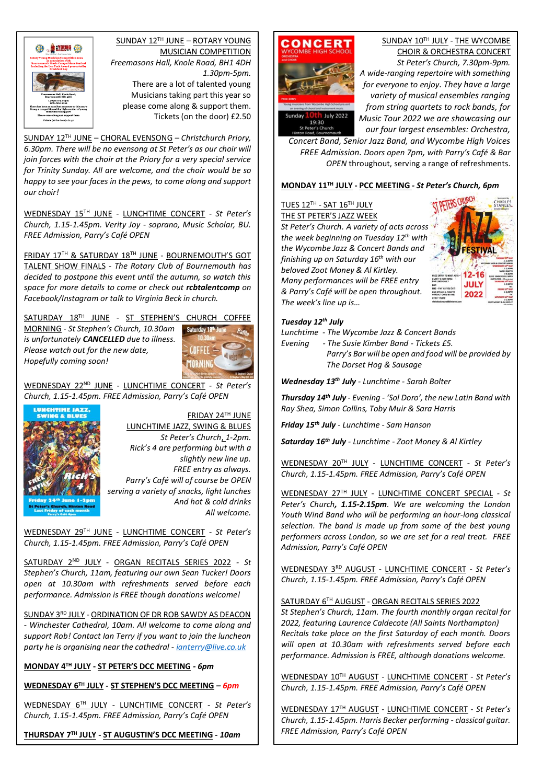

SUNDAY 12TH JUNE - ROTARY YOUNG MUSICIAN COMPETITION *Freemasons Hall, Knole Road, BH1 4DH 1.30pm-5pm.* There are a lot of talented young Musicians taking part this year so please come along & support them. Tickets (on the door) £2.50

SUNDAY 12TH JUNE – CHORAL EVENSONG *– Christchurch Priory, 6.30pm. There will be no evensong at St Peter's as our choir will join forces with the choir at the Priory for a very special service for Trinity Sunday. All are welcome, and the choir would be so happy to see your faces in the pews, to come along and support our choir!*

WEDNESDAY 15TH JUNE - LUNCHTIME CONCERT *- St Peter's Church, 1.15-1.45pm. Verity Joy - soprano, Music Scholar, BU. FREE Admission, Parry's Café OPEN*

FRIDAY 17TH & SATURDAY 18TH JUNE - BOURNEMOUTH'S GOT TALENT SHOW FINALS *- The Rotary Club of Bournemouth has decided to postpone this event until the autumn, so watch this space for more details to come or check out rcbtalentcomp on Facebook/Instagram or talk to Virginia Beck in church.* 

SATURDAY 18TH JUNE - ST STEPHEN'S CHURCH COFFEE

MORNING *- St Stephen's Church, 10.30am is unfortunately CANCELLED due to illness. Please watch out for the new date, Hopefully coming soon!*



WEDNESDAY 22ND JUNE - LUNCHTIME CONCERT *- St Peter's Church, 1.15-1.45pm. FREE Admission, Parry's Café OPEN*



FRIDAY 24TH JUNE

LUNCHTIME JAZZ, SWING & BLUES *St Peter's Church*, *1-2pm. Rick's 4 are performing but with a slightly new line up. FREE entry as always. Parry's Café will of course be OPEN serving a variety of snacks, light lunches And hot & cold drinks All welcome.*

WEDNESDAY 29TH JUNE - LUNCHTIME CONCERT *- St Peter's Church, 1.15-1.45pm. FREE Admission, Parry's Café OPEN*

SATURDAY 2ND JULY - ORGAN RECITALS SERIES 2022 *- St Stephen's Church, 11am, featuring our own Sean Tucker! Doors open at 10.30am with refreshments served before each performance. Admission is FREE though donations welcome!*

<u>SUNDAY 3<sup>RD</sup> JULY</u> - <u>ORDINATION OF DR ROB SAWDY AS DEACON</u> *- Winchester Cathedral, 10am. All welcome to come along and support Rob! Contact Ian Terry if you want to join the luncheon party he is organising near the cathedral - [ianterry@live.co.uk](mailto:ianterry@live.co.uk)*

**MONDAY 4TH JULY - ST PETER'S DCC MEETING** *- 6pm*

**WEDNESDAY 6TH JULY - ST STEPHEN'S DCC MEETING** *– 6pm*

WEDNESDAY 6TH JULY - LUNCHTIME CONCERT *- St Peter's Church, 1.15-1.45pm. FREE Admission, Parry's Café OPEN*

**THURSDAY 7TH JULY - ST AUGUSTIN'S DCC MEETING** *- 10am*



SUNDAY 10TH JULY - THE WYCOMBE CHOIR & ORCHESTRA CONCERT *St Peter's Church, 7.30pm-9pm. A wide-ranging repertoire with something for everyone to enjoy. They have a large variety of musical ensembles ranging from string quartets to rock bands, for Music Tour 2022 we are showcasing our*

**July 2022**  $19.30$ Church Peter's<br>Dead D

*our four largest ensembles: Orchestra, Concert Band, Senior Jazz Band, and Wycombe High Voices FREE Admission. Doors open 7pm, with Parry's Café & Bar OPEN* throughout, serving a range of refreshments.

#### **MONDAY 11TH JULY - PCC MEETING** *- St Peter's Church, 6pm*

#### TUES 12TH - SAT 16TH JULY

THE ST PETER'S JAZZ WEEK *St Peter's Church. A variety of acts across the week beginning on Tuesday 12th with the Wycombe Jazz & Concert Bands and finishing up on Saturday 16th with our beloved Zoot Money & Al Kirtley. Many performances will be FREE entry & Parry's Café will be open throughout. The week's line up is…*



#### *Tuesday 12th July*

*Lunchtime - The Wycombe Jazz & Concert Bands Evening - The Susie Kimber Band - Tickets £5. Parry's Bar will be open and food will be provided by The Dorset Hog & Sausage*

*Wednesday 13th July - Lunchtime - Sarah Bolter*

*Thursday 14th July - Evening - 'Sol Doro', the new Latin Band with Ray Shea, Simon Collins, Toby Muir & Sara Harris*

*Friday 15th July - Lunchtime - Sam Hanson*

*Saturday 16th July - Lunchtime - Zoot Money & Al Kirtley*

WEDNESDAY 20TH JULY - LUNCHTIME CONCERT *- St Peter's Church, 1.15-1.45pm. FREE Admission, Parry's Café OPEN*

WEDNESDAY 27TH JULY - LUNCHTIME CONCERT SPECIAL *- St Peter's Church, 1.15-2.15pm. We are welcoming the London Youth Wind Band who will be performing an hour-long classical selection. The band is made up from some of the best young performers across London, so we are set for a real treat. FREE Admission, Parry's Café OPEN*

WEDNESDAY 3RD AUGUST - LUNCHTIME CONCERT *- St Peter's Church, 1.15-1.45pm. FREE Admission, Parry's Café OPEN*

SATURDAY 6TH AUGUST - ORGAN RECITALS SERIES 2022

*St Stephen's Church, 11am. The fourth monthly organ recital for 2022, featuring Laurence Caldecote (All Saints Northampton) Recitals take place on the first Saturday of each month. Doors will open at 10.30am with refreshments served before each performance. Admission is FREE, although donations welcome.*

WEDNESDAY 10TH AUGUST - LUNCHTIME CONCERT *- St Peter's Church, 1.15-1.45pm. FREE Admission, Parry's Café OPEN*

WEDNESDAY 17TH AUGUST - LUNCHTIME CONCERT *- St Peter's Church, 1.15-1.45pm. Harris Becker performing - classical guitar. FREE Admission, Parry's Café OPEN*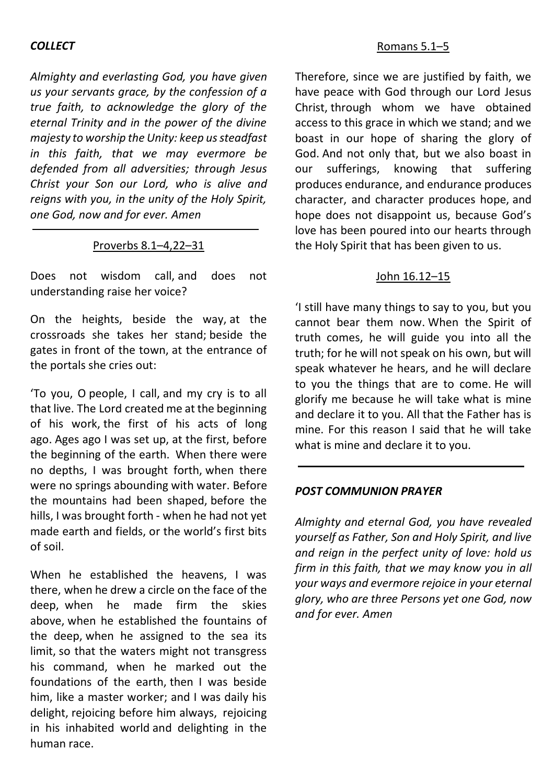# *COLLECT*

*Almighty and everlasting God, you have given us your servants grace, by the confession of a true faith, to acknowledge the glory of the eternal Trinity and in the power of the divine majesty to worship the Unity: keep us steadfast in this faith, that we may evermore be defended from all adversities; through Jesus Christ your Son our Lord, who is alive and reigns with you, in the unity of the Holy Spirit, one God, now and for ever. Amen*

# Proverbs 8.1–4,22–31

Does not wisdom call, and does not understanding raise her voice?

On the heights, beside the way, at the crossroads she takes her stand; beside the gates in front of the town, at the entrance of the portals she cries out:

'To you, O people, I call, and my cry is to all that live. The Lord created me at the beginning of his work, the first of his acts of long ago. Ages ago I was set up, at the first, before the beginning of the earth. When there were no depths, I was brought forth, when there were no springs abounding with water. Before the mountains had been shaped, before the hills, I was brought forth - when he had not yet made earth and fields, or the world's first bits of soil.

When he established the heavens, I was there, when he drew a circle on the face of the deep, when he made firm the skies above, when he established the fountains of the deep, when he assigned to the sea its limit, so that the waters might not transgress his command, when he marked out the foundations of the earth, then I was beside him, like a master worker; and I was daily his delight, rejoicing before him always, rejoicing in his inhabited world and delighting in the human race.

Therefore, since we are justified by faith, we have peace with God through our Lord Jesus Christ, through whom we have obtained access to this grace in which we stand; and we boast in our hope of sharing the glory of God. And not only that, but we also boast in our sufferings, knowing that suffering produces endurance, and endurance produces character, and character produces hope, and hope does not disappoint us, because God's love has been poured into our hearts through the Holy Spirit that has been given to us.

# John 16.12–15

'I still have many things to say to you, but you cannot bear them now. When the Spirit of truth comes, he will guide you into all the truth; for he will not speak on his own, but will speak whatever he hears, and he will declare to you the things that are to come. He will glorify me because he will take what is mine and declare it to you. All that the Father has is mine. For this reason I said that he will take what is mine and declare it to you.

# *POST COMMUNION PRAYER*

*Almighty and eternal God, you have revealed yourself as Father, Son and Holy Spirit, and live and reign in the perfect unity of love: hold us firm in this faith, that we may know you in all your ways and evermore rejoice in your eternal glory, who are three Persons yet one God, now and for ever. Amen*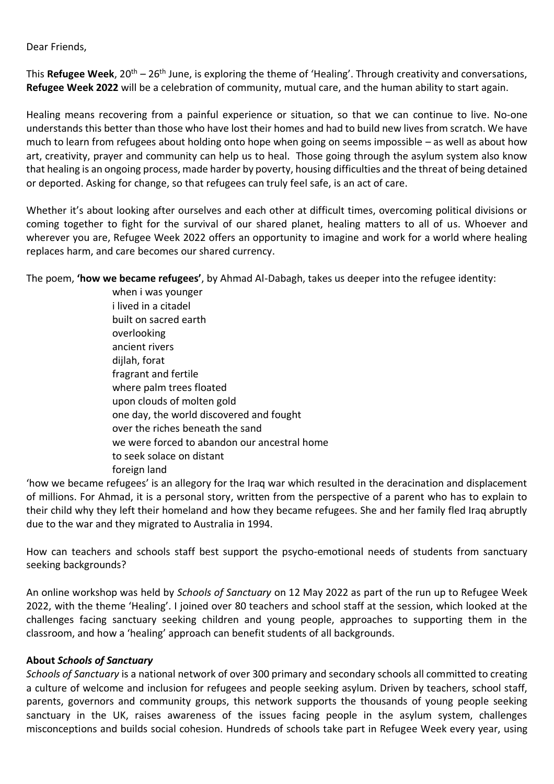Dear Friends,

This **Refugee Week**, 20<sup>th</sup> – 26<sup>th</sup> June, is exploring the theme of 'Healing'. Through creativity and conversations, **Refugee Week 2022** will be a celebration of community, mutual care, and the human ability to start again.

Healing means recovering from a painful experience or situation, so that we can continue to live. No-one understands this better than those who have lost their homes and had to build new lives from scratch. We have much to learn from refugees about holding onto hope when going on seems impossible – as well as about how art, creativity, prayer and community can help us to heal. Those going through the asylum system also know that healing is an ongoing process, made harder by poverty, housing difficulties and the threat of being detained or deported. Asking for change, so that refugees can truly feel safe, is an act of care.

Whether it's about looking after ourselves and each other at difficult times, overcoming political divisions or coming together to fight for the survival of our shared planet, healing matters to all of us. Whoever and wherever you are, Refugee Week 2022 offers an opportunity to imagine and work for a world where healing replaces harm, and care becomes our shared currency.

The poem, **'how we became refugees'**, by Ahmad Al-Dabagh, takes us deeper into the refugee identity:

when i was younger i lived in a citadel built on sacred earth overlooking ancient rivers dijlah, forat fragrant and fertile where palm trees floated upon clouds of molten gold one day, the world discovered and fought over the riches beneath the sand we were forced to abandon our ancestral home to seek solace on distant foreign land

'how we became refugees' is an allegory for the Iraq war which resulted in the deracination and displacement of millions. For Ahmad, it is a personal story, written from the perspective of a parent who has to explain to their child why they left their homeland and how they became refugees. She and her family fled Iraq abruptly due to the war and they migrated to Australia in 1994.

How can teachers and schools staff best support the psycho-emotional needs of students from sanctuary seeking backgrounds?

An online workshop was held by *Schools of Sanctuary* on 12 May 2022 as part of the run up to Refugee Week 2022, with the theme 'Healing'. I joined over 80 teachers and school staff at the session, which looked at the challenges facing sanctuary seeking children and young people, approaches to supporting them in the classroom, and how a 'healing' approach can benefit students of all backgrounds.

# **About** *Schools of Sanctuary*

*Schools of Sanctuary* is a national network of over 300 primary and secondary schools all committed to creating a culture of welcome and inclusion for refugees and people seeking asylum. Driven by teachers, school staff, parents, governors and community groups, this network supports the thousands of young people seeking sanctuary in the UK, raises awareness of the issues facing people in the asylum system, challenges misconceptions and builds social cohesion. Hundreds of schools take part in Refugee Week every year, using